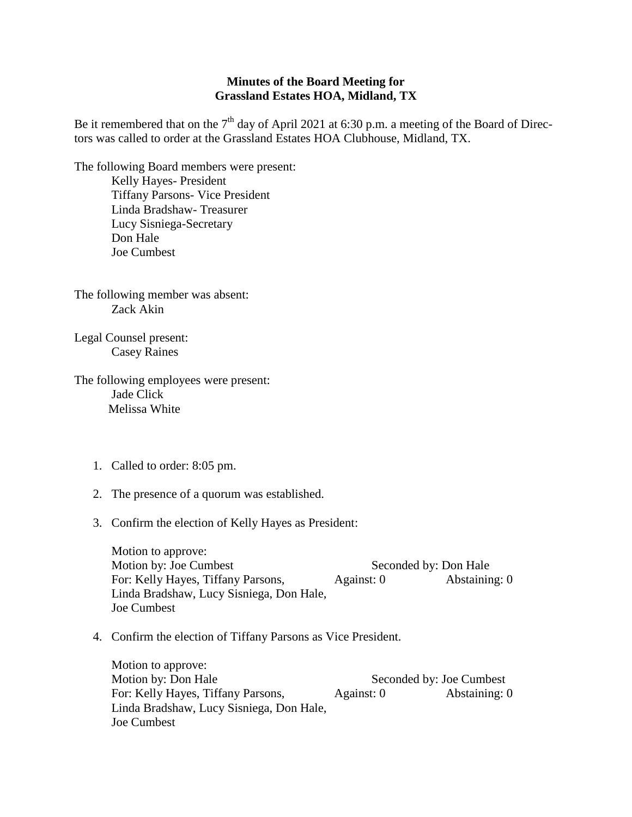## **Minutes of the Board Meeting for Grassland Estates HOA, Midland, TX**

Be it remembered that on the  $7<sup>th</sup>$  day of April 2021 at 6:30 p.m. a meeting of the Board of Directors was called to order at the Grassland Estates HOA Clubhouse, Midland, TX.

The following Board members were present: Kelly Hayes- President Tiffany Parsons- Vice President Linda Bradshaw- Treasurer Lucy Sisniega-Secretary Don Hale Joe Cumbest

The following member was absent: Zack Akin

Legal Counsel present: Casey Raines

The following employees were present: Jade Click Melissa White

- 1. Called to order: 8:05 pm.
- 2. The presence of a quorum was established.
- 3. Confirm the election of Kelly Hayes as President:

Motion to approve: Motion by: Joe Cumbest Seconded by: Don Hale For: Kelly Hayes, Tiffany Parsons, Against: 0 Abstaining: 0 Linda Bradshaw, Lucy Sisniega, Don Hale, Joe Cumbest

4. Confirm the election of Tiffany Parsons as Vice President.

Motion to approve: Motion by: Don Hale Seconded by: Joe Cumbest For: Kelly Hayes, Tiffany Parsons, Against: 0 Abstaining: 0 Linda Bradshaw, Lucy Sisniega, Don Hale, Joe Cumbest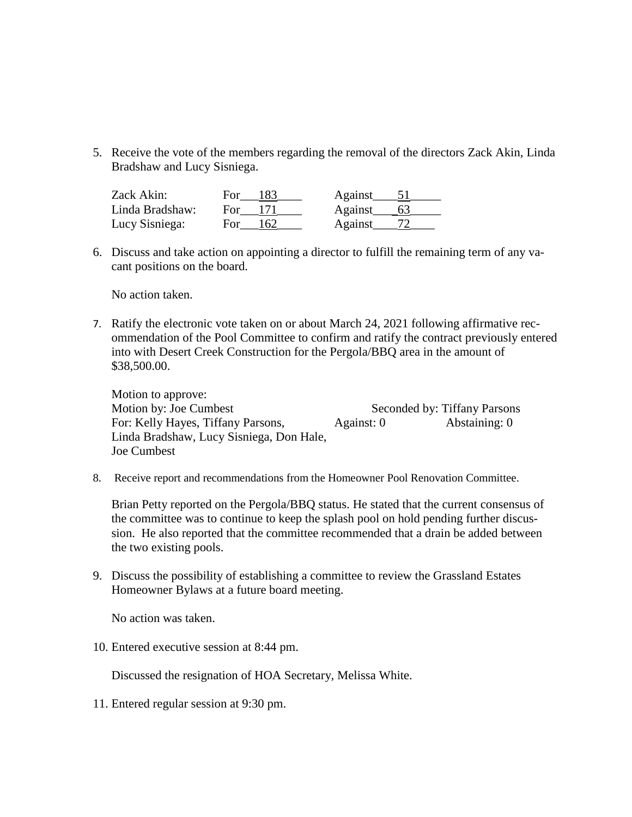5. Receive the vote of the members regarding the removal of the directors Zack Akin, Linda Bradshaw and Lucy Sisniega.

| Zack Akin:      | For.       | <b>Against</b> |  |
|-----------------|------------|----------------|--|
| Linda Bradshaw: | For        | Against        |  |
| Lucy Sisniega:  | For<br>162 | <b>Against</b> |  |

6. Discuss and take action on appointing a director to fulfill the remaining term of any vacant positions on the board.

No action taken.

7. Ratify the electronic vote taken on or about March 24, 2021 following affirmative recommendation of the Pool Committee to confirm and ratify the contract previously entered into with Desert Creek Construction for the Pergola/BBQ area in the amount of \$38,500.00.

Motion to approve: Motion by: Joe Cumbest Seconded by: Tiffany Parsons For: Kelly Hayes, Tiffany Parsons, Against: 0 Abstaining: 0 Linda Bradshaw, Lucy Sisniega, Don Hale, Joe Cumbest

8. Receive report and recommendations from the Homeowner Pool Renovation Committee.

Brian Petty reported on the Pergola/BBQ status. He stated that the current consensus of the committee was to continue to keep the splash pool on hold pending further discussion. He also reported that the committee recommended that a drain be added between the two existing pools.

9. Discuss the possibility of establishing a committee to review the Grassland Estates Homeowner Bylaws at a future board meeting.

No action was taken.

10. Entered executive session at 8:44 pm.

Discussed the resignation of HOA Secretary, Melissa White.

11. Entered regular session at 9:30 pm.